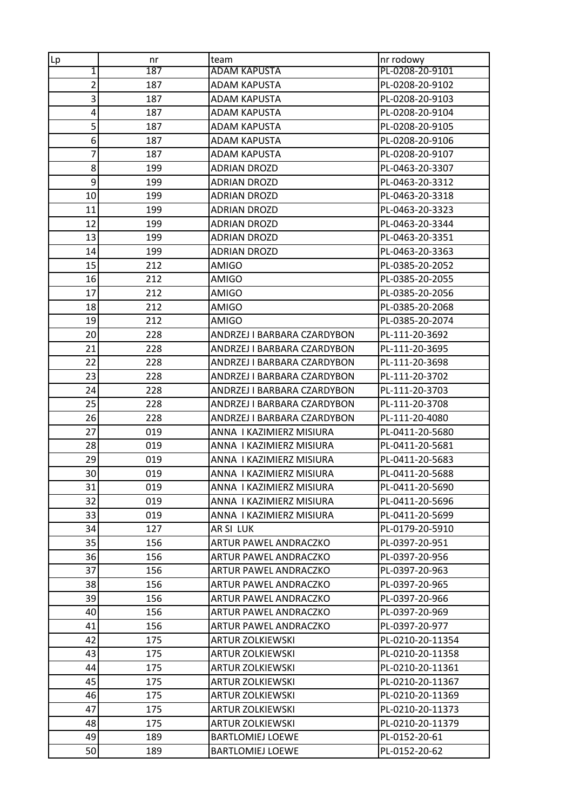| Lp               | nr  | team                        | nr rodowy        |
|------------------|-----|-----------------------------|------------------|
| 1                | 187 | <b>ADAM KAPUSTA</b>         | PL-0208-20-9101  |
| $\overline{2}$   | 187 | <b>ADAM KAPUSTA</b>         | PL-0208-20-9102  |
| 3                | 187 | ADAM KAPUSTA                | PL-0208-20-9103  |
| 4                | 187 | <b>ADAM KAPUSTA</b>         | PL-0208-20-9104  |
| 5                | 187 | <b>ADAM KAPUSTA</b>         | PL-0208-20-9105  |
| 6                | 187 | <b>ADAM KAPUSTA</b>         | PL-0208-20-9106  |
| 7                | 187 | <b>ADAM KAPUSTA</b>         | PL-0208-20-9107  |
| 8                | 199 | <b>ADRIAN DROZD</b>         | PL-0463-20-3307  |
| $\boldsymbol{9}$ | 199 | <b>ADRIAN DROZD</b>         | PL-0463-20-3312  |
| 10               | 199 | <b>ADRIAN DROZD</b>         | PL-0463-20-3318  |
| 11               | 199 | <b>ADRIAN DROZD</b>         | PL-0463-20-3323  |
| 12               | 199 | <b>ADRIAN DROZD</b>         | PL-0463-20-3344  |
| 13               | 199 | <b>ADRIAN DROZD</b>         | PL-0463-20-3351  |
| 14               | 199 | <b>ADRIAN DROZD</b>         | PL-0463-20-3363  |
| 15               | 212 | AMIGO                       | PL-0385-20-2052  |
| 16               | 212 | AMIGO                       | PL-0385-20-2055  |
| 17               | 212 | <b>AMIGO</b>                | PL-0385-20-2056  |
| 18               | 212 | AMIGO                       | PL-0385-20-2068  |
| 19               | 212 | <b>AMIGO</b>                | PL-0385-20-2074  |
| 20               | 228 | ANDRZEJ I BARBARA CZARDYBON | PL-111-20-3692   |
| 21               | 228 | ANDRZEJ I BARBARA CZARDYBON | PL-111-20-3695   |
| 22               | 228 | ANDRZEJ I BARBARA CZARDYBON | PL-111-20-3698   |
| 23               | 228 | ANDRZEJ I BARBARA CZARDYBON | PL-111-20-3702   |
| 24               | 228 | ANDRZEJ I BARBARA CZARDYBON | PL-111-20-3703   |
| 25               | 228 | ANDRZEJ I BARBARA CZARDYBON | PL-111-20-3708   |
| 26               | 228 | ANDRZEJ I BARBARA CZARDYBON | PL-111-20-4080   |
| 27               | 019 | ANNA I KAZIMIERZ MISIURA    | PL-0411-20-5680  |
| 28               | 019 | ANNA I KAZIMIERZ MISIURA    | PL-0411-20-5681  |
| 29               | 019 | ANNA I KAZIMIERZ MISIURA    | PL-0411-20-5683  |
| 30               | 019 | ANNA I KAZIMIERZ MISIURA    | PL-0411-20-5688  |
| 31               | 019 | ANNA I KAZIMIERZ MISIURA    | PL-0411-20-5690  |
| 32               | 019 | ANNA I KAZIMIERZ MISIURA    | PL-0411-20-5696  |
| 33               | 019 | ANNA I KAZIMIERZ MISIURA    | PL-0411-20-5699  |
| 34               | 127 | AR SI LUK                   | PL-0179-20-5910  |
| 35               | 156 | ARTUR PAWEL ANDRACZKO       | PL-0397-20-951   |
| 36               | 156 | ARTUR PAWEL ANDRACZKO       | PL-0397-20-956   |
| 37               | 156 | ARTUR PAWEL ANDRACZKO       | PL-0397-20-963   |
| 38               | 156 | ARTUR PAWEL ANDRACZKO       | PL-0397-20-965   |
| 39               | 156 | ARTUR PAWEL ANDRACZKO       | PL-0397-20-966   |
| 40               | 156 | ARTUR PAWEL ANDRACZKO       | PL-0397-20-969   |
| 41               | 156 | ARTUR PAWEL ANDRACZKO       | PL-0397-20-977   |
| 42               | 175 | <b>ARTUR ZOLKIEWSKI</b>     | PL-0210-20-11354 |
| 43               | 175 | ARTUR ZOLKIEWSKI            | PL-0210-20-11358 |
| 44               | 175 | <b>ARTUR ZOLKIEWSKI</b>     | PL-0210-20-11361 |
| 45               | 175 | <b>ARTUR ZOLKIEWSKI</b>     | PL-0210-20-11367 |
| 46               | 175 | ARTUR ZOLKIEWSKI            | PL-0210-20-11369 |
| 47               | 175 | <b>ARTUR ZOLKIEWSKI</b>     | PL-0210-20-11373 |
| 48               | 175 | ARTUR ZOLKIEWSKI            | PL-0210-20-11379 |
| 49               | 189 | <b>BARTLOMIEJ LOEWE</b>     | PL-0152-20-61    |
| 50               | 189 | <b>BARTLOMIEJ LOEWE</b>     | PL-0152-20-62    |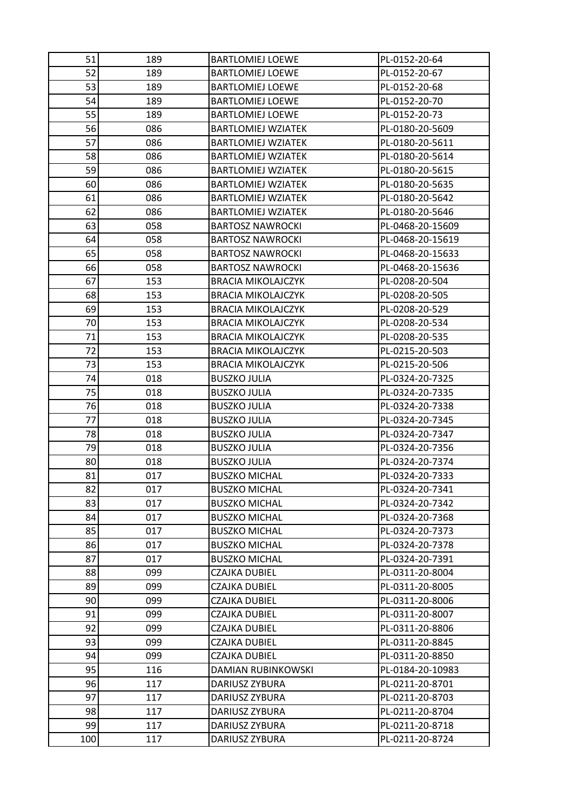| 51  | 189 | <b>BARTLOMIEJ LOEWE</b>   | PL-0152-20-64    |
|-----|-----|---------------------------|------------------|
| 52  | 189 | <b>BARTLOMIEJ LOEWE</b>   | PL-0152-20-67    |
| 53  | 189 | <b>BARTLOMIEJ LOEWE</b>   | PL-0152-20-68    |
| 54  | 189 | <b>BARTLOMIEJ LOEWE</b>   | PL-0152-20-70    |
| 55  | 189 | <b>BARTLOMIEJ LOEWE</b>   | PL-0152-20-73    |
| 56  | 086 | <b>BARTLOMIEJ WZIATEK</b> | PL-0180-20-5609  |
| 57  | 086 | <b>BARTLOMIEJ WZIATEK</b> | PL-0180-20-5611  |
| 58  | 086 | <b>BARTLOMIEJ WZIATEK</b> | PL-0180-20-5614  |
| 59  | 086 | <b>BARTLOMIEJ WZIATEK</b> | PL-0180-20-5615  |
| 60  | 086 | <b>BARTLOMIEJ WZIATEK</b> | PL-0180-20-5635  |
| 61  | 086 | <b>BARTLOMIEJ WZIATEK</b> | PL-0180-20-5642  |
| 62  | 086 | <b>BARTLOMIEJ WZIATEK</b> | PL-0180-20-5646  |
| 63  | 058 | <b>BARTOSZ NAWROCKI</b>   | PL-0468-20-15609 |
| 64  | 058 | <b>BARTOSZ NAWROCKI</b>   | PL-0468-20-15619 |
| 65  | 058 | <b>BARTOSZ NAWROCKI</b>   | PL-0468-20-15633 |
| 66  | 058 | <b>BARTOSZ NAWROCKI</b>   | PL-0468-20-15636 |
| 67  | 153 | <b>BRACIA MIKOLAJCZYK</b> | PL-0208-20-504   |
| 68  | 153 | <b>BRACIA MIKOLAJCZYK</b> | PL-0208-20-505   |
| 69  | 153 | <b>BRACIA MIKOLAJCZYK</b> | PL-0208-20-529   |
| 70  | 153 | <b>BRACIA MIKOLAJCZYK</b> | PL-0208-20-534   |
| 71  | 153 | <b>BRACIA MIKOLAJCZYK</b> | PL-0208-20-535   |
| 72  | 153 | <b>BRACIA MIKOLAJCZYK</b> | PL-0215-20-503   |
| 73  | 153 | <b>BRACIA MIKOLAJCZYK</b> | PL-0215-20-506   |
| 74  | 018 | <b>BUSZKO JULIA</b>       | PL-0324-20-7325  |
| 75  | 018 | <b>BUSZKO JULIA</b>       | PL-0324-20-7335  |
| 76  | 018 | <b>BUSZKO JULIA</b>       | PL-0324-20-7338  |
| 77  | 018 | <b>BUSZKO JULIA</b>       | PL-0324-20-7345  |
| 78  | 018 | <b>BUSZKO JULIA</b>       | PL-0324-20-7347  |
| 79  | 018 | <b>BUSZKO JULIA</b>       | PL-0324-20-7356  |
| 80  | 018 | <b>BUSZKO JULIA</b>       | PL-0324-20-7374  |
| 81  | 017 | <b>BUSZKO MICHAL</b>      | PL-0324-20-7333  |
| 82  | 017 | <b>BUSZKO MICHAL</b>      | PL-0324-20-7341  |
| 83  | 017 | <b>BUSZKO MICHAL</b>      | PL-0324-20-7342  |
| 84  | 017 | <b>BUSZKO MICHAL</b>      | PL-0324-20-7368  |
| 85  | 017 | <b>BUSZKO MICHAL</b>      | PL-0324-20-7373  |
| 86  | 017 | <b>BUSZKO MICHAL</b>      | PL-0324-20-7378  |
| 87  | 017 | <b>BUSZKO MICHAL</b>      | PL-0324-20-7391  |
| 88  | 099 | <b>CZAJKA DUBIEL</b>      | PL-0311-20-8004  |
| 89  | 099 | CZAJKA DUBIEL             | PL-0311-20-8005  |
| 90  | 099 | CZAJKA DUBIEL             | PL-0311-20-8006  |
| 91  | 099 | CZAJKA DUBIEL             | PL-0311-20-8007  |
| 92  | 099 | <b>CZAJKA DUBIEL</b>      | PL-0311-20-8806  |
| 93  | 099 | <b>CZAJKA DUBIEL</b>      | PL-0311-20-8845  |
| 94  | 099 | CZAJKA DUBIEL             | PL-0311-20-8850  |
| 95  | 116 | DAMIAN RUBINKOWSKI        | PL-0184-20-10983 |
| 96  | 117 | DARIUSZ ZYBURA            | PL-0211-20-8701  |
| 97  | 117 | DARIUSZ ZYBURA            | PL-0211-20-8703  |
| 98  | 117 | DARIUSZ ZYBURA            | PL-0211-20-8704  |
| 99  | 117 | DARIUSZ ZYBURA            | PL-0211-20-8718  |
| 100 | 117 | DARIUSZ ZYBURA            | PL-0211-20-8724  |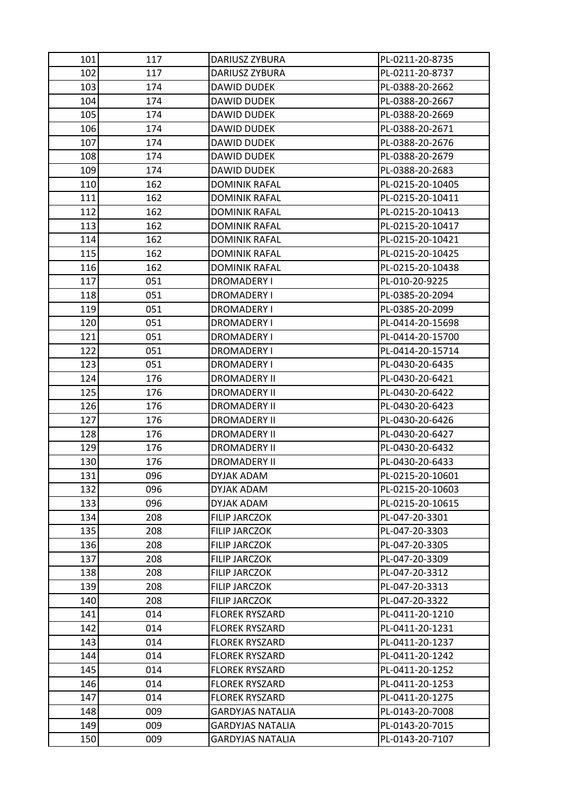| 101 | 117 | DARIUSZ ZYBURA          | PL-0211-20-8735  |
|-----|-----|-------------------------|------------------|
| 102 | 117 | DARIUSZ ZYBURA          | PL-0211-20-8737  |
| 103 | 174 | DAWID DUDEK             | PL-0388-20-2662  |
| 104 | 174 | DAWID DUDEK             | PL-0388-20-2667  |
| 105 | 174 | DAWID DUDEK             | PL-0388-20-2669  |
| 106 | 174 | DAWID DUDEK             | PL-0388-20-2671  |
| 107 | 174 | DAWID DUDEK             | PL-0388-20-2676  |
| 108 | 174 | DAWID DUDEK             | PL-0388-20-2679  |
| 109 | 174 | DAWID DUDEK             | PL-0388-20-2683  |
| 110 | 162 | <b>DOMINIK RAFAL</b>    | PL-0215-20-10405 |
| 111 | 162 | DOMINIK RAFAL           | PL-0215-20-10411 |
| 112 | 162 | <b>DOMINIK RAFAL</b>    | PL-0215-20-10413 |
| 113 | 162 | <b>DOMINIK RAFAL</b>    | PL-0215-20-10417 |
| 114 | 162 | DOMINIK RAFAL           | PL-0215-20-10421 |
| 115 | 162 | <b>DOMINIK RAFAL</b>    | PL-0215-20-10425 |
| 116 | 162 | <b>DOMINIK RAFAL</b>    | PL-0215-20-10438 |
| 117 | 051 | DROMADERY I             | PL-010-20-9225   |
| 118 | 051 | <b>DROMADERY I</b>      | PL-0385-20-2094  |
| 119 | 051 | DROMADERY I             | PL-0385-20-2099  |
| 120 | 051 | DROMADERY I             | PL-0414-20-15698 |
| 121 | 051 | DROMADERY I             | PL-0414-20-15700 |
| 122 | 051 | DROMADERY I             | PL-0414-20-15714 |
| 123 | 051 | DROMADERY I             | PL-0430-20-6435  |
| 124 | 176 | DROMADERY II            | PL-0430-20-6421  |
| 125 | 176 | <b>DROMADERY II</b>     | PL-0430-20-6422  |
| 126 | 176 | DROMADERY II            | PL-0430-20-6423  |
| 127 | 176 | <b>DROMADERY II</b>     | PL-0430-20-6426  |
| 128 | 176 | <b>DROMADERY II</b>     | PL-0430-20-6427  |
| 129 | 176 | DROMADERY II            | PL-0430-20-6432  |
| 130 | 176 | DROMADERY II            | PL-0430-20-6433  |
| 131 | 096 | DYJAK ADAM              | PL-0215-20-10601 |
| 132 | 096 | DYJAK ADAM              | PL-0215-20-10603 |
| 133 | 096 | DYJAK ADAM              | PL-0215-20-10615 |
| 134 | 208 | <b>FILIP JARCZOK</b>    | PL-047-20-3301   |
| 135 | 208 | FILIP JARCZOK           | PL-047-20-3303   |
| 136 | 208 | <b>FILIP JARCZOK</b>    | PL-047-20-3305   |
| 137 | 208 | <b>FILIP JARCZOK</b>    | PL-047-20-3309   |
| 138 | 208 | <b>FILIP JARCZOK</b>    | PL-047-20-3312   |
| 139 | 208 | <b>FILIP JARCZOK</b>    | PL-047-20-3313   |
| 140 | 208 | FILIP JARCZOK           | PL-047-20-3322   |
| 141 | 014 | <b>FLOREK RYSZARD</b>   | PL-0411-20-1210  |
| 142 | 014 | <b>FLOREK RYSZARD</b>   | PL-0411-20-1231  |
| 143 | 014 | <b>FLOREK RYSZARD</b>   | PL-0411-20-1237  |
| 144 | 014 | <b>FLOREK RYSZARD</b>   | PL-0411-20-1242  |
| 145 | 014 | <b>FLOREK RYSZARD</b>   | PL-0411-20-1252  |
| 146 | 014 | <b>FLOREK RYSZARD</b>   | PL-0411-20-1253  |
| 147 | 014 | <b>FLOREK RYSZARD</b>   | PL-0411-20-1275  |
| 148 | 009 | <b>GARDYJAS NATALIA</b> | PL-0143-20-7008  |
| 149 | 009 | <b>GARDYJAS NATALIA</b> | PL-0143-20-7015  |
| 150 | 009 | GARDYJAS NATALIA        | PL-0143-20-7107  |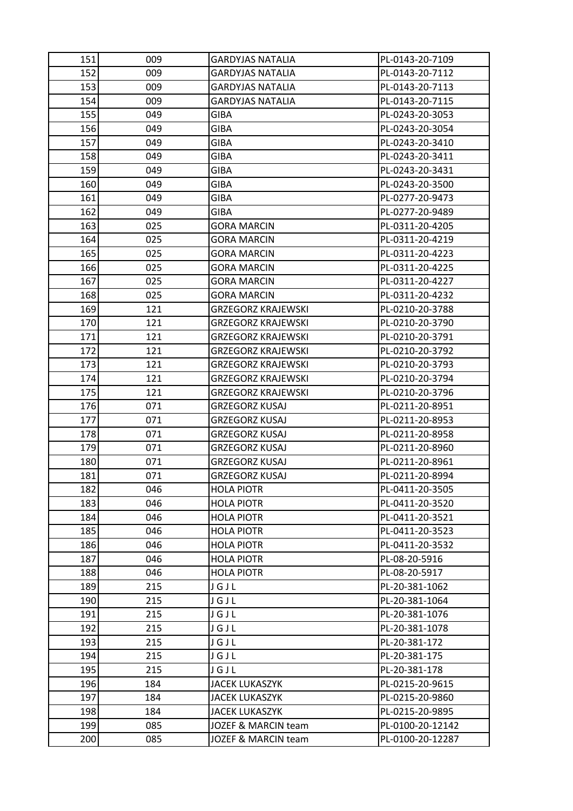| 151 | 009 | GARDYJAS NATALIA          | PL-0143-20-7109  |
|-----|-----|---------------------------|------------------|
| 152 | 009 | <b>GARDYJAS NATALIA</b>   | PL-0143-20-7112  |
| 153 | 009 | <b>GARDYJAS NATALIA</b>   | PL-0143-20-7113  |
| 154 | 009 | GARDYJAS NATALIA          | PL-0143-20-7115  |
| 155 | 049 | <b>GIBA</b>               | PL-0243-20-3053  |
| 156 | 049 | GIBA                      | PL-0243-20-3054  |
| 157 | 049 | GIBA                      | PL-0243-20-3410  |
| 158 | 049 | <b>GIBA</b>               | PL-0243-20-3411  |
| 159 | 049 | GIBA                      | PL-0243-20-3431  |
| 160 | 049 | <b>GIBA</b>               | PL-0243-20-3500  |
| 161 | 049 | GIBA                      | PL-0277-20-9473  |
| 162 | 049 | GIBA                      | PL-0277-20-9489  |
| 163 | 025 | <b>GORA MARCIN</b>        | PL-0311-20-4205  |
| 164 | 025 | <b>GORA MARCIN</b>        | PL-0311-20-4219  |
| 165 | 025 | <b>GORA MARCIN</b>        | PL-0311-20-4223  |
| 166 | 025 | <b>GORA MARCIN</b>        | PL-0311-20-4225  |
| 167 | 025 | <b>GORA MARCIN</b>        | PL-0311-20-4227  |
| 168 | 025 | <b>GORA MARCIN</b>        | PL-0311-20-4232  |
| 169 | 121 | <b>GRZEGORZ KRAJEWSKI</b> | PL-0210-20-3788  |
| 170 | 121 | <b>GRZEGORZ KRAJEWSKI</b> | PL-0210-20-3790  |
| 171 | 121 | GRZEGORZ KRAJEWSKI        | PL-0210-20-3791  |
| 172 | 121 | <b>GRZEGORZ KRAJEWSKI</b> | PL-0210-20-3792  |
| 173 | 121 | <b>GRZEGORZ KRAJEWSKI</b> | PL-0210-20-3793  |
| 174 | 121 | <b>GRZEGORZ KRAJEWSKI</b> | PL-0210-20-3794  |
| 175 | 121 | <b>GRZEGORZ KRAJEWSKI</b> | PL-0210-20-3796  |
| 176 | 071 | GRZEGORZ KUSAJ            | PL-0211-20-8951  |
| 177 | 071 | <b>GRZEGORZ KUSAJ</b>     | PL-0211-20-8953  |
| 178 | 071 | <b>GRZEGORZ KUSAJ</b>     | PL-0211-20-8958  |
| 179 | 071 | <b>GRZEGORZ KUSAJ</b>     | PL-0211-20-8960  |
| 180 | 071 | <b>GRZEGORZ KUSAJ</b>     | PL-0211-20-8961  |
| 181 | 071 | GRZEGORZ KUSAJ            | PL-0211-20-8994  |
| 182 | 046 | <b>HOLA PIOTR</b>         | PL-0411-20-3505  |
| 183 | 046 | <b>HOLA PIOTR</b>         | PL-0411-20-3520  |
| 184 | 046 | <b>HOLA PIOTR</b>         | PL-0411-20-3521  |
| 185 | 046 | <b>HOLA PIOTR</b>         | PL-0411-20-3523  |
| 186 | 046 | <b>HOLA PIOTR</b>         | PL-0411-20-3532  |
| 187 | 046 | <b>HOLA PIOTR</b>         | PL-08-20-5916    |
| 188 | 046 | <b>HOLA PIOTR</b>         | PL-08-20-5917    |
| 189 | 215 | JGJL                      | PL-20-381-1062   |
| 190 | 215 | JGJL                      | PL-20-381-1064   |
| 191 | 215 | JGJL                      | PL-20-381-1076   |
| 192 | 215 | JGJL                      | PL-20-381-1078   |
| 193 | 215 | JGJL                      | PL-20-381-172    |
| 194 | 215 | JGJL                      | PL-20-381-175    |
| 195 | 215 | JGJL                      | PL-20-381-178    |
| 196 | 184 | <b>JACEK LUKASZYK</b>     | PL-0215-20-9615  |
| 197 | 184 | <b>JACEK LUKASZYK</b>     | PL-0215-20-9860  |
| 198 | 184 | <b>JACEK LUKASZYK</b>     | PL-0215-20-9895  |
| 199 | 085 | JOZEF & MARCIN team       | PL-0100-20-12142 |
| 200 | 085 | JOZEF & MARCIN team       | PL-0100-20-12287 |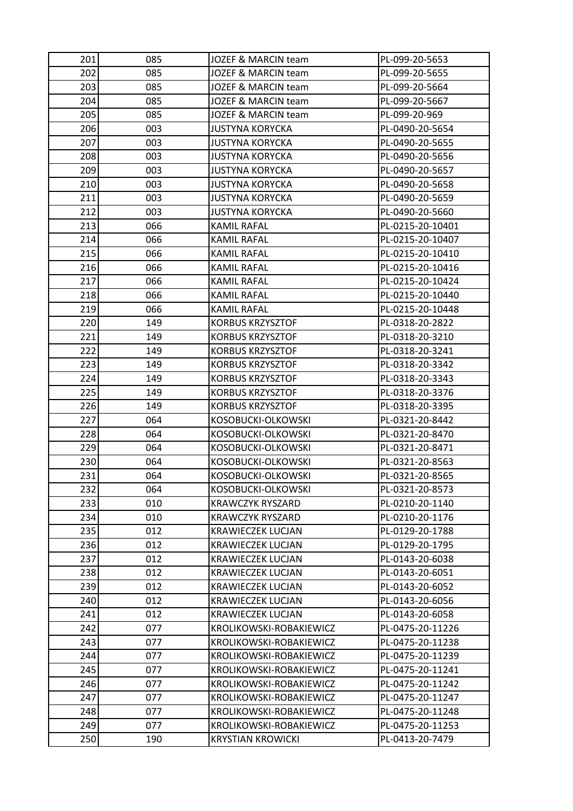| 201 | 085 | JOZEF & MARCIN team      | PL-099-20-5653   |
|-----|-----|--------------------------|------------------|
| 202 | 085 | JOZEF & MARCIN team      | PL-099-20-5655   |
| 203 | 085 | JOZEF & MARCIN team      | PL-099-20-5664   |
| 204 | 085 | JOZEF & MARCIN team      | PL-099-20-5667   |
| 205 | 085 | JOZEF & MARCIN team      | PL-099-20-969    |
| 206 | 003 | <b>JUSTYNA KORYCKA</b>   | PL-0490-20-5654  |
| 207 | 003 | <b>JUSTYNA KORYCKA</b>   | PL-0490-20-5655  |
| 208 | 003 | <b>JUSTYNA KORYCKA</b>   | PL-0490-20-5656  |
| 209 | 003 | <b>JUSTYNA KORYCKA</b>   | PL-0490-20-5657  |
| 210 | 003 | <b>JUSTYNA KORYCKA</b>   | PL-0490-20-5658  |
| 211 | 003 | JUSTYNA KORYCKA          | PL-0490-20-5659  |
| 212 | 003 | <b>JUSTYNA KORYCKA</b>   | PL-0490-20-5660  |
| 213 | 066 | <b>KAMIL RAFAL</b>       | PL-0215-20-10401 |
| 214 | 066 | KAMIL RAFAL              | PL-0215-20-10407 |
| 215 | 066 | <b>KAMIL RAFAL</b>       | PL-0215-20-10410 |
| 216 | 066 | KAMIL RAFAL              | PL-0215-20-10416 |
| 217 | 066 | KAMIL RAFAL              | PL-0215-20-10424 |
| 218 | 066 | <b>KAMIL RAFAL</b>       | PL-0215-20-10440 |
| 219 | 066 | KAMIL RAFAL              | PL-0215-20-10448 |
| 220 | 149 | <b>KORBUS KRZYSZTOF</b>  | PL-0318-20-2822  |
| 221 | 149 | KORBUS KRZYSZTOF         | PL-0318-20-3210  |
| 222 | 149 | <b>KORBUS KRZYSZTOF</b>  | PL-0318-20-3241  |
| 223 | 149 | <b>KORBUS KRZYSZTOF</b>  | PL-0318-20-3342  |
| 224 | 149 | <b>KORBUS KRZYSZTOF</b>  | PL-0318-20-3343  |
| 225 | 149 | <b>KORBUS KRZYSZTOF</b>  | PL-0318-20-3376  |
| 226 | 149 | <b>KORBUS KRZYSZTOF</b>  | PL-0318-20-3395  |
| 227 | 064 | KOSOBUCKI-OLKOWSKI       | PL-0321-20-8442  |
| 228 | 064 | KOSOBUCKI-OLKOWSKI       | PL-0321-20-8470  |
| 229 | 064 | KOSOBUCKI-OLKOWSKI       | PL-0321-20-8471  |
| 230 | 064 | KOSOBUCKI-OLKOWSKI       | PL-0321-20-8563  |
| 231 | 064 | KOSOBUCKI-OLKOWSKI       | PL-0321-20-8565  |
| 232 | 064 | KOSOBUCKI-OLKOWSKI       | PL-0321-20-8573  |
| 233 | 010 | <b>KRAWCZYK RYSZARD</b>  | PL-0210-20-1140  |
| 234 | 010 | <b>KRAWCZYK RYSZARD</b>  | PL-0210-20-1176  |
| 235 | 012 | <b>KRAWIECZEK LUCJAN</b> | PL-0129-20-1788  |
| 236 | 012 | <b>KRAWIECZEK LUCJAN</b> | PL-0129-20-1795  |
| 237 | 012 | <b>KRAWIECZEK LUCJAN</b> | PL-0143-20-6038  |
| 238 | 012 | <b>KRAWIECZEK LUCJAN</b> | PL-0143-20-6051  |
| 239 | 012 | <b>KRAWIECZEK LUCJAN</b> | PL-0143-20-6052  |
| 240 | 012 | <b>KRAWIECZEK LUCJAN</b> | PL-0143-20-6056  |
| 241 | 012 | <b>KRAWIECZEK LUCJAN</b> | PL-0143-20-6058  |
| 242 | 077 | KROLIKOWSKI-ROBAKIEWICZ  | PL-0475-20-11226 |
| 243 | 077 | KROLIKOWSKI-ROBAKIEWICZ  | PL-0475-20-11238 |
| 244 | 077 | KROLIKOWSKI-ROBAKIEWICZ  | PL-0475-20-11239 |
| 245 | 077 | KROLIKOWSKI-ROBAKIEWICZ  | PL-0475-20-11241 |
| 246 | 077 | KROLIKOWSKI-ROBAKIEWICZ  | PL-0475-20-11242 |
| 247 | 077 | KROLIKOWSKI-ROBAKIEWICZ  | PL-0475-20-11247 |
| 248 | 077 | KROLIKOWSKI-ROBAKIEWICZ  | PL-0475-20-11248 |
| 249 | 077 | KROLIKOWSKI-ROBAKIEWICZ  | PL-0475-20-11253 |
| 250 | 190 | <b>KRYSTIAN KROWICKI</b> | PL-0413-20-7479  |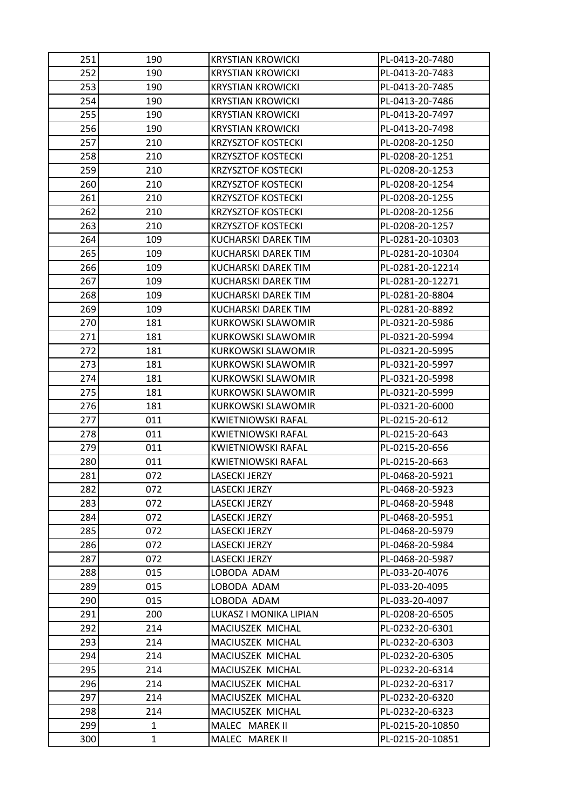| 251 | 190          | <b>KRYSTIAN KROWICKI</b>   | PL-0413-20-7480  |
|-----|--------------|----------------------------|------------------|
| 252 | 190          | <b>KRYSTIAN KROWICKI</b>   | PL-0413-20-7483  |
| 253 | 190          | <b>KRYSTIAN KROWICKI</b>   | PL-0413-20-7485  |
| 254 | 190          | KRYSTIAN KROWICKI          | PL-0413-20-7486  |
| 255 | 190          | <b>KRYSTIAN KROWICKI</b>   | PL-0413-20-7497  |
| 256 | 190          | KRYSTIAN KROWICKI          | PL-0413-20-7498  |
| 257 | 210          | KRZYSZTOF KOSTECKI         | PL-0208-20-1250  |
| 258 | 210          | <b>KRZYSZTOF KOSTECKI</b>  | PL-0208-20-1251  |
| 259 | 210          | <b>KRZYSZTOF KOSTECKI</b>  | PL-0208-20-1253  |
| 260 | 210          | <b>KRZYSZTOF KOSTECKI</b>  | PL-0208-20-1254  |
| 261 | 210          | <b>KRZYSZTOF KOSTECKI</b>  | PL-0208-20-1255  |
| 262 | 210          | <b>KRZYSZTOF KOSTECKI</b>  | PL-0208-20-1256  |
| 263 | 210          | <b>KRZYSZTOF KOSTECKI</b>  | PL-0208-20-1257  |
| 264 | 109          | KUCHARSKI DAREK TIM        | PL-0281-20-10303 |
| 265 | 109          | <b>KUCHARSKI DAREK TIM</b> | PL-0281-20-10304 |
| 266 | 109          | KUCHARSKI DAREK TIM        | PL-0281-20-12214 |
| 267 | 109          | <b>KUCHARSKI DAREK TIM</b> | PL-0281-20-12271 |
| 268 | 109          | KUCHARSKI DAREK TIM        | PL-0281-20-8804  |
| 269 | 109          | KUCHARSKI DAREK TIM        | PL-0281-20-8892  |
| 270 | 181          | <b>KURKOWSKI SLAWOMIR</b>  | PL-0321-20-5986  |
| 271 | 181          | KURKOWSKI SLAWOMIR         | PL-0321-20-5994  |
| 272 | 181          | KURKOWSKI SLAWOMIR         | PL-0321-20-5995  |
| 273 | 181          | <b>KURKOWSKI SLAWOMIR</b>  | PL-0321-20-5997  |
| 274 | 181          | KURKOWSKI SLAWOMIR         | PL-0321-20-5998  |
| 275 | 181          | KURKOWSKI SLAWOMIR         | PL-0321-20-5999  |
| 276 | 181          | KURKOWSKI SLAWOMIR         | PL-0321-20-6000  |
| 277 | 011          | KWIETNIOWSKI RAFAL         | PL-0215-20-612   |
| 278 | 011          | <b>KWIETNIOWSKI RAFAL</b>  | PL-0215-20-643   |
| 279 | 011          | KWIETNIOWSKI RAFAL         | PL-0215-20-656   |
| 280 | 011          | KWIETNIOWSKI RAFAL         | PL-0215-20-663   |
| 281 | 072          | LASECKI JERZY              | PL-0468-20-5921  |
| 282 | 072          | <b>LASECKI JERZY</b>       | PL-0468-20-5923  |
| 283 | 072          | <b>LASECKI JERZY</b>       | PL-0468-20-5948  |
| 284 | 072          | LASECKI JERZY              | PL-0468-20-5951  |
| 285 | 072          | LASECKI JERZY              | PL-0468-20-5979  |
| 286 | 072          | LASECKI JERZY              | PL-0468-20-5984  |
| 287 | 072          | <b>LASECKI JERZY</b>       | PL-0468-20-5987  |
| 288 | 015          | LOBODA ADAM                | PL-033-20-4076   |
| 289 | 015          | LOBODA ADAM                | PL-033-20-4095   |
| 290 | 015          | LOBODA ADAM                | PL-033-20-4097   |
| 291 | 200          | LUKASZ I MONIKA LIPIAN     | PL-0208-20-6505  |
| 292 | 214          | MACIUSZEK MICHAL           | PL-0232-20-6301  |
| 293 | 214          | MACIUSZEK MICHAL           | PL-0232-20-6303  |
| 294 | 214          | MACIUSZEK MICHAL           | PL-0232-20-6305  |
| 295 | 214          | MACIUSZEK MICHAL           | PL-0232-20-6314  |
| 296 | 214          | MACIUSZEK MICHAL           | PL-0232-20-6317  |
| 297 | 214          | MACIUSZEK MICHAL           | PL-0232-20-6320  |
| 298 | 214          | MACIUSZEK MICHAL           | PL-0232-20-6323  |
| 299 | 1            | MALEC MAREK II             | PL-0215-20-10850 |
| 300 | $\mathbf{1}$ | MALEC MAREK II             | PL-0215-20-10851 |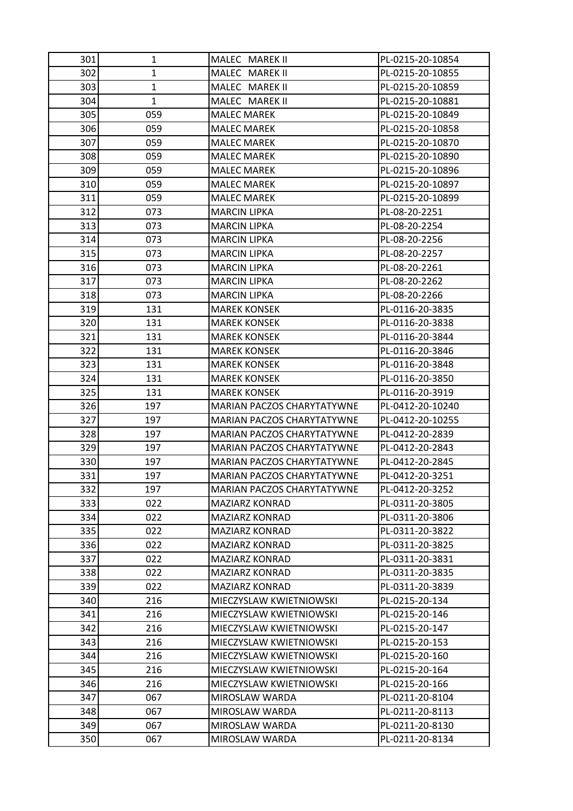| 301 | 1            | MALEC MAREK II                    | PL-0215-20-10854 |
|-----|--------------|-----------------------------------|------------------|
| 302 | $\mathbf{1}$ | MALEC MAREK II                    | PL-0215-20-10855 |
| 303 | $\mathbf{1}$ | MALEC MAREK II                    | PL-0215-20-10859 |
| 304 | $\mathbf{1}$ | MALEC MAREK II                    | PL-0215-20-10881 |
| 305 | 059          | <b>MALEC MAREK</b>                | PL-0215-20-10849 |
| 306 | 059          | <b>MALEC MAREK</b>                | PL-0215-20-10858 |
| 307 | 059          | <b>MALEC MAREK</b>                | PL-0215-20-10870 |
| 308 | 059          | <b>MALEC MAREK</b>                | PL-0215-20-10890 |
| 309 | 059          | <b>MALEC MAREK</b>                | PL-0215-20-10896 |
| 310 | 059          | <b>MALEC MAREK</b>                | PL-0215-20-10897 |
| 311 | 059          | <b>MALEC MAREK</b>                | PL-0215-20-10899 |
| 312 | 073          | <b>MARCIN LIPKA</b>               | PL-08-20-2251    |
| 313 | 073          | <b>MARCIN LIPKA</b>               | PL-08-20-2254    |
| 314 | 073          | <b>MARCIN LIPKA</b>               | PL-08-20-2256    |
| 315 | 073          | <b>MARCIN LIPKA</b>               | PL-08-20-2257    |
| 316 | 073          | <b>MARCIN LIPKA</b>               | PL-08-20-2261    |
| 317 | 073          | <b>MARCIN LIPKA</b>               | PL-08-20-2262    |
| 318 | 073          | <b>MARCIN LIPKA</b>               | PL-08-20-2266    |
| 319 | 131          | <b>MAREK KONSEK</b>               | PL-0116-20-3835  |
| 320 | 131          | <b>MAREK KONSEK</b>               | PL-0116-20-3838  |
| 321 | 131          | <b>MAREK KONSEK</b>               | PL-0116-20-3844  |
| 322 | 131          | <b>MAREK KONSEK</b>               | PL-0116-20-3846  |
| 323 | 131          | <b>MAREK KONSEK</b>               | PL-0116-20-3848  |
| 324 | 131          | <b>MAREK KONSEK</b>               | PL-0116-20-3850  |
| 325 | 131          | <b>MAREK KONSEK</b>               | PL-0116-20-3919  |
| 326 | 197          | MARIAN PACZOS CHARYTATYWNE        | PL-0412-20-10240 |
| 327 | 197          | MARIAN PACZOS CHARYTATYWNE        | PL-0412-20-10255 |
| 328 | 197          | MARIAN PACZOS CHARYTATYWNE        | PL-0412-20-2839  |
| 329 | 197          | MARIAN PACZOS CHARYTATYWNE        | PL-0412-20-2843  |
| 330 | 197          | MARIAN PACZOS CHARYTATYWNE        | PL-0412-20-2845  |
| 331 | 197          | <b>MARIAN PACZOS CHARYTATYWNE</b> | PL-0412-20-3251  |
| 332 | 197          | MARIAN PACZOS CHARYTATYWNE        | PL-0412-20-3252  |
| 333 | 022          | <b>MAZIARZ KONRAD</b>             | PL-0311-20-3805  |
| 334 | 022          | <b>MAZIARZ KONRAD</b>             | PL-0311-20-3806  |
| 335 | 022          | <b>MAZIARZ KONRAD</b>             | PL-0311-20-3822  |
| 336 | 022          | MAZIARZ KONRAD                    | PL-0311-20-3825  |
| 337 | 022          | <b>MAZIARZ KONRAD</b>             | PL-0311-20-3831  |
| 338 | 022          | MAZIARZ KONRAD                    | PL-0311-20-3835  |
| 339 | 022          | <b>MAZIARZ KONRAD</b>             | PL-0311-20-3839  |
| 340 | 216          | MIECZYSLAW KWIETNIOWSKI           | PL-0215-20-134   |
| 341 | 216          | MIECZYSLAW KWIETNIOWSKI           | PL-0215-20-146   |
| 342 | 216          | MIECZYSLAW KWIETNIOWSKI           | PL-0215-20-147   |
| 343 | 216          | MIECZYSLAW KWIETNIOWSKI           | PL-0215-20-153   |
| 344 | 216          | MIECZYSLAW KWIETNIOWSKI           | PL-0215-20-160   |
| 345 | 216          | MIECZYSLAW KWIETNIOWSKI           | PL-0215-20-164   |
| 346 | 216          | MIECZYSLAW KWIETNIOWSKI           | PL-0215-20-166   |
| 347 | 067          | MIROSLAW WARDA                    | PL-0211-20-8104  |
| 348 | 067          | MIROSLAW WARDA                    | PL-0211-20-8113  |
| 349 | 067          | MIROSLAW WARDA                    | PL-0211-20-8130  |
| 350 | 067          | MIROSLAW WARDA                    | PL-0211-20-8134  |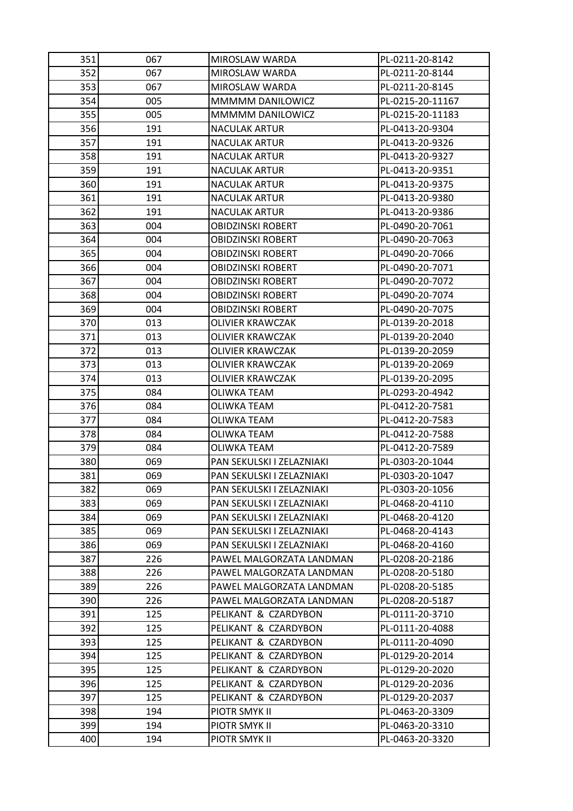| 351 | 067 | MIROSLAW WARDA            | PL-0211-20-8142  |
|-----|-----|---------------------------|------------------|
| 352 | 067 | MIROSLAW WARDA            | PL-0211-20-8144  |
| 353 | 067 | MIROSLAW WARDA            | PL-0211-20-8145  |
| 354 | 005 | MMMMM DANILOWICZ          | PL-0215-20-11167 |
| 355 | 005 | MMMMM DANILOWICZ          | PL-0215-20-11183 |
| 356 | 191 | <b>NACULAK ARTUR</b>      | PL-0413-20-9304  |
| 357 | 191 | <b>NACULAK ARTUR</b>      | PL-0413-20-9326  |
| 358 | 191 | <b>NACULAK ARTUR</b>      | PL-0413-20-9327  |
| 359 | 191 | NACULAK ARTUR             | PL-0413-20-9351  |
| 360 | 191 | <b>NACULAK ARTUR</b>      | PL-0413-20-9375  |
| 361 | 191 | <b>NACULAK ARTUR</b>      | PL-0413-20-9380  |
| 362 | 191 | <b>NACULAK ARTUR</b>      | PL-0413-20-9386  |
| 363 | 004 | <b>OBIDZINSKI ROBERT</b>  | PL-0490-20-7061  |
| 364 | 004 | OBIDZINSKI ROBERT         | PL-0490-20-7063  |
| 365 | 004 | <b>OBIDZINSKI ROBERT</b>  | PL-0490-20-7066  |
| 366 | 004 | OBIDZINSKI ROBERT         | PL-0490-20-7071  |
| 367 | 004 | <b>OBIDZINSKI ROBERT</b>  | PL-0490-20-7072  |
| 368 | 004 | <b>OBIDZINSKI ROBERT</b>  | PL-0490-20-7074  |
| 369 | 004 | OBIDZINSKI ROBERT         | PL-0490-20-7075  |
| 370 | 013 | <b>OLIVIER KRAWCZAK</b>   | PL-0139-20-2018  |
| 371 | 013 | OLIVIER KRAWCZAK          | PL-0139-20-2040  |
| 372 | 013 | <b>OLIVIER KRAWCZAK</b>   | PL-0139-20-2059  |
| 373 | 013 | OLIVIER KRAWCZAK          | PL-0139-20-2069  |
| 374 | 013 | OLIVIER KRAWCZAK          | PL-0139-20-2095  |
| 375 | 084 | <b>OLIWKA TEAM</b>        | PL-0293-20-4942  |
| 376 | 084 | OLIWKA TEAM               | PL-0412-20-7581  |
| 377 | 084 | <b>OLIWKA TEAM</b>        | PL-0412-20-7583  |
| 378 | 084 | OLIWKA TEAM               | PL-0412-20-7588  |
| 379 | 084 | OLIWKA TEAM               | PL-0412-20-7589  |
| 380 | 069 | PAN SEKULSKI I ZELAZNIAKI | PL-0303-20-1044  |
| 381 | 069 | PAN SEKULSKI I ZELAZNIAKI | PL-0303-20-1047  |
| 382 | 069 | PAN SEKULSKI I ZELAZNIAKI | PL-0303-20-1056  |
| 383 | 069 | PAN SEKULSKI I ZELAZNIAKI | PL-0468-20-4110  |
| 384 | 069 | PAN SEKULSKI I ZELAZNIAKI | PL-0468-20-4120  |
| 385 | 069 | PAN SEKULSKI I ZELAZNIAKI | PL-0468-20-4143  |
| 386 | 069 | PAN SEKULSKI I ZELAZNIAKI | PL-0468-20-4160  |
| 387 | 226 | PAWEL MALGORZATA LANDMAN  | PL-0208-20-2186  |
| 388 | 226 | PAWEL MALGORZATA LANDMAN  | PL-0208-20-5180  |
| 389 | 226 | PAWEL MALGORZATA LANDMAN  | PL-0208-20-5185  |
| 390 | 226 | PAWEL MALGORZATA LANDMAN  | PL-0208-20-5187  |
| 391 | 125 | PELIKANT & CZARDYBON      | PL-0111-20-3710  |
| 392 | 125 | PELIKANT & CZARDYBON      | PL-0111-20-4088  |
| 393 | 125 | PELIKANT & CZARDYBON      | PL-0111-20-4090  |
| 394 | 125 | PELIKANT & CZARDYBON      | PL-0129-20-2014  |
| 395 | 125 | PELIKANT & CZARDYBON      | PL-0129-20-2020  |
| 396 | 125 | PELIKANT & CZARDYBON      | PL-0129-20-2036  |
| 397 | 125 | PELIKANT & CZARDYBON      | PL-0129-20-2037  |
| 398 | 194 | PIOTR SMYK II             | PL-0463-20-3309  |
| 399 | 194 | PIOTR SMYK II             | PL-0463-20-3310  |
| 400 | 194 | PIOTR SMYK II             | PL-0463-20-3320  |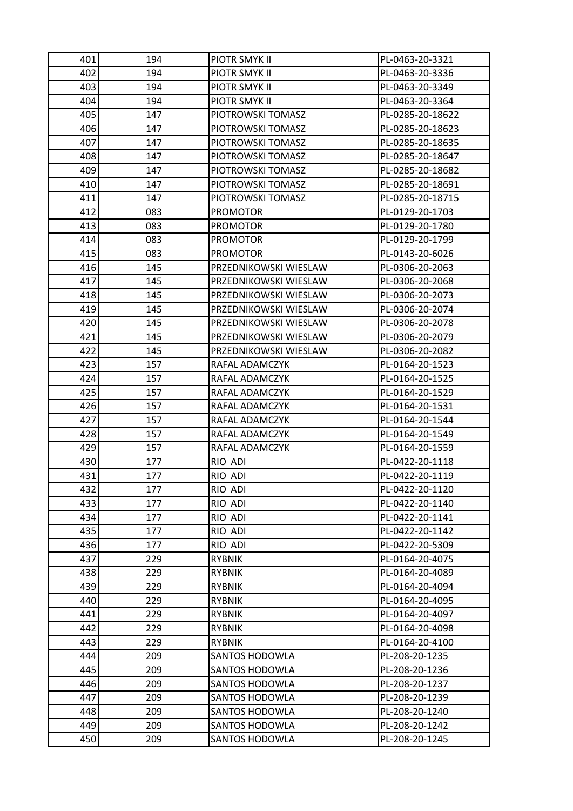| 401 | 194 | PIOTR SMYK II         | PL-0463-20-3321  |
|-----|-----|-----------------------|------------------|
| 402 | 194 | PIOTR SMYK II         | PL-0463-20-3336  |
| 403 | 194 | <b>PIOTR SMYK II</b>  | PL-0463-20-3349  |
| 404 | 194 | PIOTR SMYK II         | PL-0463-20-3364  |
| 405 | 147 | PIOTROWSKI TOMASZ     | PL-0285-20-18622 |
| 406 | 147 | PIOTROWSKI TOMASZ     | PL-0285-20-18623 |
| 407 | 147 | PIOTROWSKI TOMASZ     | PL-0285-20-18635 |
| 408 | 147 | PIOTROWSKI TOMASZ     | PL-0285-20-18647 |
| 409 | 147 | PIOTROWSKI TOMASZ     | PL-0285-20-18682 |
| 410 | 147 | PIOTROWSKI TOMASZ     | PL-0285-20-18691 |
| 411 | 147 | PIOTROWSKI TOMASZ     | PL-0285-20-18715 |
| 412 | 083 | <b>PROMOTOR</b>       | PL-0129-20-1703  |
| 413 | 083 | <b>PROMOTOR</b>       | PL-0129-20-1780  |
| 414 | 083 | <b>PROMOTOR</b>       | PL-0129-20-1799  |
| 415 | 083 | <b>PROMOTOR</b>       | PL-0143-20-6026  |
| 416 | 145 | PRZEDNIKOWSKI WIESLAW | PL-0306-20-2063  |
| 417 | 145 | PRZEDNIKOWSKI WIESLAW | PL-0306-20-2068  |
| 418 | 145 | PRZEDNIKOWSKI WIESLAW | PL-0306-20-2073  |
| 419 | 145 | PRZEDNIKOWSKI WIESLAW | PL-0306-20-2074  |
| 420 | 145 | PRZEDNIKOWSKI WIESLAW | PL-0306-20-2078  |
| 421 | 145 | PRZEDNIKOWSKI WIESLAW | PL-0306-20-2079  |
| 422 | 145 | PRZEDNIKOWSKI WIESLAW | PL-0306-20-2082  |
| 423 | 157 | RAFAL ADAMCZYK        | PL-0164-20-1523  |
| 424 | 157 | RAFAL ADAMCZYK        | PL-0164-20-1525  |
| 425 | 157 | RAFAL ADAMCZYK        | PL-0164-20-1529  |
| 426 | 157 | RAFAL ADAMCZYK        | PL-0164-20-1531  |
| 427 | 157 | RAFAL ADAMCZYK        | PL-0164-20-1544  |
| 428 | 157 | RAFAL ADAMCZYK        | PL-0164-20-1549  |
| 429 | 157 | RAFAL ADAMCZYK        | PL-0164-20-1559  |
| 430 | 177 | RIO ADI               | PL-0422-20-1118  |
| 431 | 177 | RIO ADI               | PL-0422-20-1119  |
| 432 | 177 | RIO ADI               | PL-0422-20-1120  |
| 433 | 177 | RIO ADI               | PL-0422-20-1140  |
| 434 | 177 | RIO ADI               | PL-0422-20-1141  |
| 435 | 177 | RIO ADI               | PL-0422-20-1142  |
| 436 | 177 | RIO ADI               | PL-0422-20-5309  |
| 437 | 229 | <b>RYBNIK</b>         | PL-0164-20-4075  |
| 438 | 229 | <b>RYBNIK</b>         | PL-0164-20-4089  |
| 439 | 229 | <b>RYBNIK</b>         | PL-0164-20-4094  |
| 440 | 229 | <b>RYBNIK</b>         | PL-0164-20-4095  |
| 441 | 229 | <b>RYBNIK</b>         | PL-0164-20-4097  |
| 442 | 229 | <b>RYBNIK</b>         | PL-0164-20-4098  |
| 443 | 229 | <b>RYBNIK</b>         | PL-0164-20-4100  |
| 444 | 209 | <b>SANTOS HODOWLA</b> | PL-208-20-1235   |
| 445 | 209 | SANTOS HODOWLA        | PL-208-20-1236   |
| 446 | 209 | <b>SANTOS HODOWLA</b> | PL-208-20-1237   |
| 447 | 209 | <b>SANTOS HODOWLA</b> | PL-208-20-1239   |
| 448 | 209 | <b>SANTOS HODOWLA</b> | PL-208-20-1240   |
| 449 | 209 | SANTOS HODOWLA        | PL-208-20-1242   |
| 450 | 209 | SANTOS HODOWLA        | PL-208-20-1245   |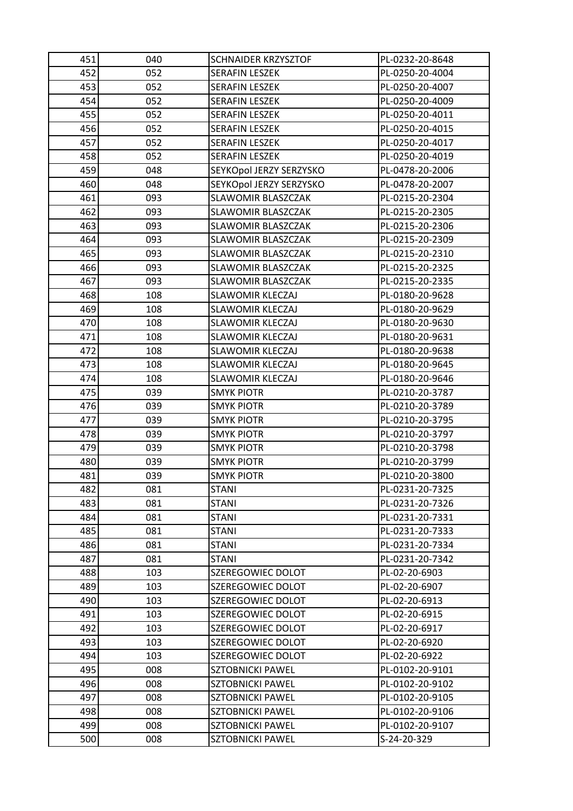| 451 | 040 | <b>SCHNAIDER KRZYSZTOF</b> | PL-0232-20-8648 |
|-----|-----|----------------------------|-----------------|
| 452 | 052 | <b>SERAFIN LESZEK</b>      | PL-0250-20-4004 |
| 453 | 052 | <b>SERAFIN LESZEK</b>      | PL-0250-20-4007 |
| 454 | 052 | <b>SERAFIN LESZEK</b>      | PL-0250-20-4009 |
| 455 | 052 | <b>SERAFIN LESZEK</b>      | PL-0250-20-4011 |
| 456 | 052 | <b>SERAFIN LESZEK</b>      | PL-0250-20-4015 |
| 457 | 052 | <b>SERAFIN LESZEK</b>      | PL-0250-20-4017 |
| 458 | 052 | <b>SERAFIN LESZEK</b>      | PL-0250-20-4019 |
| 459 | 048 | SEYKOpol JERZY SERZYSKO    | PL-0478-20-2006 |
| 460 | 048 | SEYKOpol JERZY SERZYSKO    | PL-0478-20-2007 |
| 461 | 093 | SLAWOMIR BLASZCZAK         | PL-0215-20-2304 |
| 462 | 093 | SLAWOMIR BLASZCZAK         | PL-0215-20-2305 |
| 463 | 093 | SLAWOMIR BLASZCZAK         | PL-0215-20-2306 |
| 464 | 093 | SLAWOMIR BLASZCZAK         | PL-0215-20-2309 |
| 465 | 093 | SLAWOMIR BLASZCZAK         | PL-0215-20-2310 |
| 466 | 093 | SLAWOMIR BLASZCZAK         | PL-0215-20-2325 |
| 467 | 093 | SLAWOMIR BLASZCZAK         | PL-0215-20-2335 |
| 468 | 108 | <b>SLAWOMIR KLECZAJ</b>    | PL-0180-20-9628 |
| 469 | 108 | <b>SLAWOMIR KLECZAJ</b>    | PL-0180-20-9629 |
| 470 | 108 | <b>SLAWOMIR KLECZAJ</b>    | PL-0180-20-9630 |
| 471 | 108 | <b>SLAWOMIR KLECZAJ</b>    | PL-0180-20-9631 |
| 472 | 108 | SLAWOMIR KLECZAJ           | PL-0180-20-9638 |
| 473 | 108 | <b>SLAWOMIR KLECZAJ</b>    | PL-0180-20-9645 |
| 474 | 108 | <b>SLAWOMIR KLECZAJ</b>    | PL-0180-20-9646 |
| 475 | 039 | <b>SMYK PIOTR</b>          | PL-0210-20-3787 |
| 476 | 039 | <b>SMYK PIOTR</b>          | PL-0210-20-3789 |
| 477 | 039 | <b>SMYK PIOTR</b>          | PL-0210-20-3795 |
| 478 | 039 | <b>SMYK PIOTR</b>          | PL-0210-20-3797 |
| 479 | 039 | <b>SMYK PIOTR</b>          | PL-0210-20-3798 |
| 480 | 039 | <b>SMYK PIOTR</b>          | PL-0210-20-3799 |
| 481 | 039 | <b>SMYK PIOTR</b>          | PL-0210-20-3800 |
| 482 | 081 | <b>STANI</b>               | PL-0231-20-7325 |
| 483 | 081 | <b>STANI</b>               | PL-0231-20-7326 |
| 484 | 081 | <b>STANI</b>               | PL-0231-20-7331 |
| 485 | 081 | <b>STANI</b>               | PL-0231-20-7333 |
| 486 | 081 | <b>STANI</b>               | PL-0231-20-7334 |
| 487 | 081 | <b>STANI</b>               | PL-0231-20-7342 |
| 488 | 103 | SZEREGOWIEC DOLOT          | PL-02-20-6903   |
| 489 | 103 | SZEREGOWIEC DOLOT          | PL-02-20-6907   |
| 490 | 103 | SZEREGOWIEC DOLOT          | PL-02-20-6913   |
| 491 | 103 | SZEREGOWIEC DOLOT          | PL-02-20-6915   |
| 492 | 103 | SZEREGOWIEC DOLOT          | PL-02-20-6917   |
| 493 | 103 | SZEREGOWIEC DOLOT          | PL-02-20-6920   |
| 494 | 103 | SZEREGOWIEC DOLOT          | PL-02-20-6922   |
| 495 | 008 | <b>SZTOBNICKI PAWEL</b>    | PL-0102-20-9101 |
| 496 | 008 | <b>SZTOBNICKI PAWEL</b>    | PL-0102-20-9102 |
| 497 | 008 | <b>SZTOBNICKI PAWEL</b>    | PL-0102-20-9105 |
| 498 | 008 | <b>SZTOBNICKI PAWEL</b>    | PL-0102-20-9106 |
| 499 | 008 | <b>SZTOBNICKI PAWEL</b>    | PL-0102-20-9107 |
| 500 | 008 | SZTOBNICKI PAWEL           | S-24-20-329     |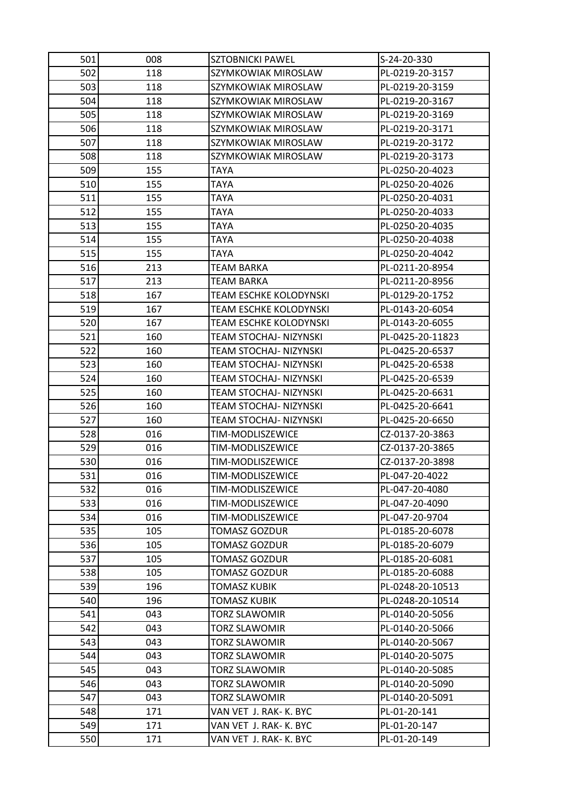| 501 | 008 | SZTOBNICKI PAWEL              | S-24-20-330      |
|-----|-----|-------------------------------|------------------|
| 502 | 118 | SZYMKOWIAK MIROSLAW           | PL-0219-20-3157  |
| 503 | 118 | SZYMKOWIAK MIROSLAW           | PL-0219-20-3159  |
| 504 | 118 | SZYMKOWIAK MIROSLAW           | PL-0219-20-3167  |
| 505 | 118 | SZYMKOWIAK MIROSLAW           | PL-0219-20-3169  |
| 506 | 118 | SZYMKOWIAK MIROSLAW           | PL-0219-20-3171  |
| 507 | 118 | SZYMKOWIAK MIROSLAW           | PL-0219-20-3172  |
| 508 | 118 | SZYMKOWIAK MIROSLAW           | PL-0219-20-3173  |
| 509 | 155 | TAYA                          | PL-0250-20-4023  |
| 510 | 155 | TAYA                          | PL-0250-20-4026  |
| 511 | 155 | TAYA                          | PL-0250-20-4031  |
| 512 | 155 | TAYA                          | PL-0250-20-4033  |
| 513 | 155 | TAYA                          | PL-0250-20-4035  |
| 514 | 155 | TAYA                          | PL-0250-20-4038  |
| 515 | 155 | TAYA                          | PL-0250-20-4042  |
| 516 | 213 | <b>TEAM BARKA</b>             | PL-0211-20-8954  |
| 517 | 213 | <b>TEAM BARKA</b>             | PL-0211-20-8956  |
| 518 | 167 | <b>TEAM ESCHKE KOLODYNSKI</b> | PL-0129-20-1752  |
| 519 | 167 | <b>TEAM ESCHKE KOLODYNSKI</b> | PL-0143-20-6054  |
| 520 | 167 | TEAM ESCHKE KOLODYNSKI        | PL-0143-20-6055  |
| 521 | 160 | TEAM STOCHAJ- NIZYNSKI        | PL-0425-20-11823 |
| 522 | 160 | TEAM STOCHAJ- NIZYNSKI        | PL-0425-20-6537  |
| 523 | 160 | TEAM STOCHAJ- NIZYNSKI        | PL-0425-20-6538  |
| 524 | 160 | TEAM STOCHAJ- NIZYNSKI        | PL-0425-20-6539  |
| 525 | 160 | TEAM STOCHAJ- NIZYNSKI        | PL-0425-20-6631  |
| 526 | 160 | TEAM STOCHAJ- NIZYNSKI        | PL-0425-20-6641  |
| 527 | 160 | TEAM STOCHAJ- NIZYNSKI        | PL-0425-20-6650  |
| 528 | 016 | TIM-MODLISZEWICE              | CZ-0137-20-3863  |
| 529 | 016 | TIM-MODLISZEWICE              | CZ-0137-20-3865  |
| 530 | 016 | TIM-MODLISZEWICE              | CZ-0137-20-3898  |
| 531 | 016 | TIM-MODLISZEWICE              | PL-047-20-4022   |
| 532 | 016 | TIM-MODLISZEWICE              | PL-047-20-4080   |
| 533 | 016 | TIM-MODLISZEWICE              | PL-047-20-4090   |
| 534 | 016 | TIM-MODLISZEWICE              | PL-047-20-9704   |
| 535 | 105 | TOMASZ GOZDUR                 | PL-0185-20-6078  |
| 536 | 105 | <b>TOMASZ GOZDUR</b>          | PL-0185-20-6079  |
| 537 | 105 | <b>TOMASZ GOZDUR</b>          | PL-0185-20-6081  |
| 538 | 105 | <b>TOMASZ GOZDUR</b>          | PL-0185-20-6088  |
| 539 | 196 | TOMASZ KUBIK                  | PL-0248-20-10513 |
| 540 | 196 | TOMASZ KUBIK                  | PL-0248-20-10514 |
| 541 | 043 | <b>TORZ SLAWOMIR</b>          | PL-0140-20-5056  |
| 542 | 043 | <b>TORZ SLAWOMIR</b>          | PL-0140-20-5066  |
| 543 | 043 | <b>TORZ SLAWOMIR</b>          | PL-0140-20-5067  |
| 544 | 043 | TORZ SLAWOMIR                 | PL-0140-20-5075  |
| 545 | 043 | <b>TORZ SLAWOMIR</b>          | PL-0140-20-5085  |
| 546 | 043 | TORZ SLAWOMIR                 | PL-0140-20-5090  |
| 547 | 043 | <b>TORZ SLAWOMIR</b>          | PL-0140-20-5091  |
| 548 | 171 | VAN VET J. RAK- K. BYC        | PL-01-20-141     |
| 549 | 171 | VAN VET J. RAK- K. BYC        | PL-01-20-147     |
| 550 | 171 | VAN VET J. RAK-K. BYC         | PL-01-20-149     |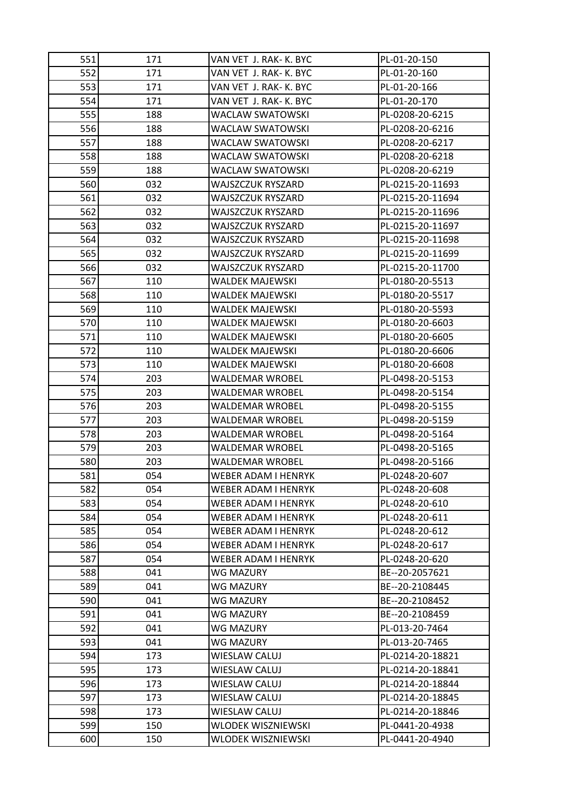| 551 | 171 | VAN VET J. RAK- K. BYC | PL-01-20-150     |
|-----|-----|------------------------|------------------|
| 552 | 171 | VAN VET J. RAK- K. BYC | PL-01-20-160     |
| 553 | 171 | VAN VET J. RAK- K. BYC | PL-01-20-166     |
| 554 | 171 | VAN VET J. RAK- K. BYC | PL-01-20-170     |
| 555 | 188 | WACLAW SWATOWSKI       | PL-0208-20-6215  |
| 556 | 188 | WACLAW SWATOWSKI       | PL-0208-20-6216  |
| 557 | 188 | WACLAW SWATOWSKI       | PL-0208-20-6217  |
| 558 | 188 | WACLAW SWATOWSKI       | PL-0208-20-6218  |
| 559 | 188 | WACLAW SWATOWSKI       | PL-0208-20-6219  |
| 560 | 032 | WAJSZCZUK RYSZARD      | PL-0215-20-11693 |
| 561 | 032 | WAJSZCZUK RYSZARD      | PL-0215-20-11694 |
| 562 | 032 | WAJSZCZUK RYSZARD      | PL-0215-20-11696 |
| 563 | 032 | WAJSZCZUK RYSZARD      | PL-0215-20-11697 |
| 564 | 032 | WAJSZCZUK RYSZARD      | PL-0215-20-11698 |
| 565 | 032 | WAJSZCZUK RYSZARD      | PL-0215-20-11699 |
| 566 | 032 | WAJSZCZUK RYSZARD      | PL-0215-20-11700 |
| 567 | 110 | WALDEK MAJEWSKI        | PL-0180-20-5513  |
| 568 | 110 | WALDEK MAJEWSKI        | PL-0180-20-5517  |
| 569 | 110 | WALDEK MAJEWSKI        | PL-0180-20-5593  |
| 570 | 110 | WALDEK MAJEWSKI        | PL-0180-20-6603  |
| 571 | 110 | WALDEK MAJEWSKI        | PL-0180-20-6605  |
| 572 | 110 | WALDEK MAJEWSKI        | PL-0180-20-6606  |
| 573 | 110 | WALDEK MAJEWSKI        | PL-0180-20-6608  |
| 574 | 203 | WALDEMAR WROBEL        | PL-0498-20-5153  |
| 575 | 203 | WALDEMAR WROBEL        | PL-0498-20-5154  |
| 576 | 203 | WALDEMAR WROBEL        | PL-0498-20-5155  |
| 577 | 203 | WALDEMAR WROBEL        | PL-0498-20-5159  |
| 578 | 203 | <b>WALDEMAR WROBEL</b> | PL-0498-20-5164  |
| 579 | 203 | WALDEMAR WROBEL        | PL-0498-20-5165  |
| 580 | 203 | WALDEMAR WROBEL        | PL-0498-20-5166  |
| 581 | 054 | WEBER ADAM I HENRYK    | PL-0248-20-607   |
| 582 | 054 | WEBER ADAM I HENRYK    | PL-0248-20-608   |
| 583 | 054 | WEBER ADAM I HENRYK    | PL-0248-20-610   |
| 584 | 054 | WEBER ADAM I HENRYK    | PL-0248-20-611   |
| 585 | 054 | WEBER ADAM I HENRYK    | PL-0248-20-612   |
| 586 | 054 | WEBER ADAM I HENRYK    | PL-0248-20-617   |
| 587 | 054 | WEBER ADAM I HENRYK    | PL-0248-20-620   |
| 588 | 041 | WG MAZURY              | BE--20-2057621   |
| 589 | 041 | WG MAZURY              | BE--20-2108445   |
| 590 | 041 | <b>WG MAZURY</b>       | BE--20-2108452   |
| 591 | 041 | <b>WG MAZURY</b>       | BE--20-2108459   |
| 592 | 041 | WG MAZURY              | PL-013-20-7464   |
| 593 | 041 | WG MAZURY              | PL-013-20-7465   |
| 594 | 173 | WIESLAW CALUJ          | PL-0214-20-18821 |
| 595 | 173 | WIESLAW CALUJ          | PL-0214-20-18841 |
| 596 | 173 | WIESLAW CALUJ          | PL-0214-20-18844 |
| 597 | 173 | WIESLAW CALUJ          | PL-0214-20-18845 |
| 598 | 173 | WIESLAW CALUJ          | PL-0214-20-18846 |
| 599 | 150 | WLODEK WISZNIEWSKI     | PL-0441-20-4938  |
| 600 | 150 | WLODEK WISZNIEWSKI     | PL-0441-20-4940  |